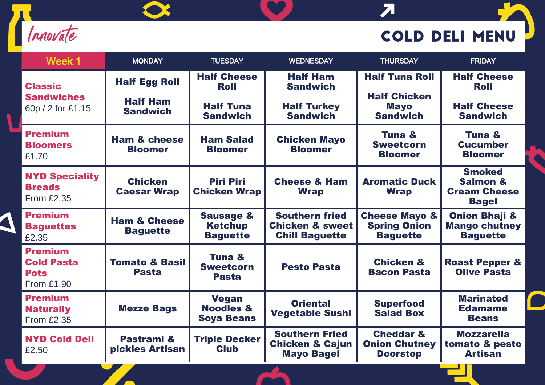

 $\bullet$ 

## **COLD DELI MENU**

**JA** 

 $\overline{\mathbf{z}}$ 

| Week 1                                                                  | <b>MONDAY</b>                              | <b>TUESDAY</b>                                            | <b>WEDNESDAY</b>                                                             | <b>THURSDAY</b>                                                    | <b>FRIDAY</b>                                                               |
|-------------------------------------------------------------------------|--------------------------------------------|-----------------------------------------------------------|------------------------------------------------------------------------------|--------------------------------------------------------------------|-----------------------------------------------------------------------------|
| <b>Classic</b><br><b>Sandwiches</b><br>60p / 2 for £1.15                | <b>Half Egg Roll</b>                       | <b>Half Cheese</b><br><b>Roll</b>                         | <b>Half Ham</b><br><b>Sandwich</b>                                           | <b>Half Tuna Roll</b>                                              | <b>Half Cheese</b><br><b>Roll</b>                                           |
|                                                                         | <b>Half Ham</b><br><b>Sandwich</b>         | <b>Half Tuna</b><br><b>Sandwich</b>                       | <b>Half Turkey</b><br><b>Sandwich</b>                                        | <b>Half Chicken</b><br><b>Mayo</b><br><b>Sandwich</b>              | <b>Half Cheese</b><br><b>Sandwich</b>                                       |
| <b>Premium</b><br><b>Bloomers</b><br>£1.70                              | <b>Ham &amp; cheese</b><br><b>Bloomer</b>  | <b>Ham Salad</b><br><b>Bloomer</b>                        | <b>Chicken Mayo</b><br><b>Bloomer</b>                                        | Tuna &<br><b>Sweetcorn</b><br><b>Bloomer</b>                       | Tuna &<br><b>Cucumber</b><br><b>Bloomer</b>                                 |
| <b>NYD Speciality</b><br><b>Breads</b><br><b>From £2.35</b>             | <b>Chicken</b><br><b>Caesar Wrap</b>       | <b>Piri Piri</b><br><b>Chicken Wrap</b>                   | <b>Cheese &amp; Ham</b><br><b>Wrap</b>                                       | <b>Aromatic Duck</b><br><b>Wrap</b>                                | <b>Smoked</b><br><b>Salmon &amp;</b><br><b>Cream Cheese</b><br><b>Bagel</b> |
| <b>Premium</b><br><b>Baguettes</b><br>£2.35                             | <b>Ham &amp; Cheese</b><br><b>Baguette</b> | <b>Sausage &amp;</b><br><b>Ketchup</b><br><b>Baguette</b> | <b>Southern fried</b><br><b>Chicken &amp; sweet</b><br><b>Chill Baguette</b> | <b>Cheese Mayo &amp;</b><br><b>Spring Onion</b><br><b>Baguette</b> | <b>Onion Bhaji &amp;</b><br><b>Mango chutney</b><br><b>Baguette</b>         |
| <b>Premium</b><br><b>Cold Pasta</b><br><b>Pots</b><br><b>From £1.90</b> | <b>Tomato &amp; Basil</b><br><b>Pasta</b>  | Tuna &<br><b>Sweetcorn</b><br><b>Pasta</b>                | <b>Pesto Pasta</b>                                                           | <b>Chicken &amp;</b><br><b>Bacon Pasta</b>                         | <b>Roast Pepper &amp;</b><br><b>Olive Pasta</b>                             |
| <b>Premium</b><br><b>Naturally</b><br><b>From £2.35</b>                 | <b>Mezze Bags</b>                          | <b>Vegan</b><br><b>Noodles &amp;</b><br><b>Soya Beans</b> | <b>Oriental</b><br><b>Vegetable Sushi</b>                                    | <b>Superfood</b><br><b>Salad Box</b>                               | <b>Marinated</b><br><b>Edamame</b><br><b>Beans</b>                          |
| <b>NYD Cold Deli</b><br>£2.50                                           | Pastrami &<br>pickles Artisan              | <b>Triple Decker</b><br><b>Club</b>                       | <b>Southern Fried</b><br><b>Chicken &amp; Cajun</b><br><b>Mayo Bagel</b>     | <b>Cheddar &amp;</b><br><b>Onion Chutney</b><br><b>Doorstop</b>    | <b>Mozzarella</b><br>tomato & pesto<br><b>Artisan</b>                       |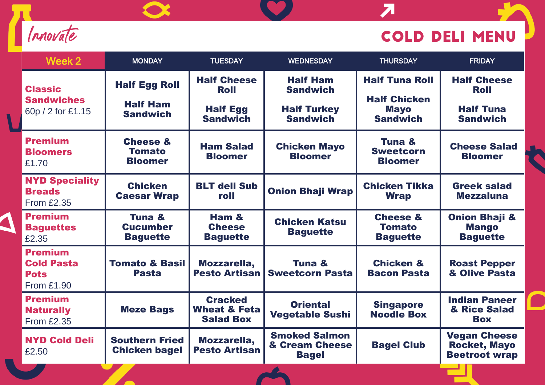

١

## **COLD DELI MENU**

 $\overline{\mathbf{z}}$ 

| Week 2                                                                  | <b>MONDAY</b>                                              | <b>TUESDAY</b>                                                          | <b>WEDNESDAY</b>                                                            | <b>THURSDAY</b>                                                                | <b>FRIDAY</b>                                                            |
|-------------------------------------------------------------------------|------------------------------------------------------------|-------------------------------------------------------------------------|-----------------------------------------------------------------------------|--------------------------------------------------------------------------------|--------------------------------------------------------------------------|
| <b>Classic</b><br><b>Sandwiches</b><br>60p / 2 for £1.15                | <b>Half Egg Roll</b><br><b>Half Ham</b><br><b>Sandwich</b> | <b>Half Cheese</b><br><b>Roll</b><br><b>Half Egg</b><br><b>Sandwich</b> | <b>Half Ham</b><br><b>Sandwich</b><br><b>Half Turkey</b><br><b>Sandwich</b> | <b>Half Tuna Roll</b><br><b>Half Chicken</b><br><b>Mayo</b><br><b>Sandwich</b> | <b>Half Cheese</b><br><b>Roll</b><br><b>Half Tuna</b><br><b>Sandwich</b> |
| <b>Premium</b><br><b>Bloomers</b><br>£1.70                              | <b>Cheese &amp;</b><br><b>Tomato</b><br><b>Bloomer</b>     | <b>Ham Salad</b><br><b>Bloomer</b>                                      | <b>Chicken Mayo</b><br><b>Bloomer</b>                                       | Tuna &<br><b>Sweetcorn</b><br><b>Bloomer</b>                                   | <b>Cheese Salad</b><br><b>Bloomer</b>                                    |
| <b>NYD Speciality</b><br><b>Breads</b><br><b>From £2.35</b>             | <b>Chicken</b><br><b>Caesar Wrap</b>                       | <b>BLT deli Sub</b><br>roll                                             | <b>Onion Bhaji Wrap</b>                                                     | <b>Chicken Tikka</b><br><b>Wrap</b>                                            | <b>Greek salad</b><br><b>Mezzaluna</b>                                   |
| <b>Premium</b><br><b>Baguettes</b><br>£2.35                             | Tuna &<br><b>Cucumber</b><br><b>Baguette</b>               | Ham &<br><b>Cheese</b><br><b>Baguette</b>                               | <b>Chicken Katsu</b><br><b>Baguette</b>                                     | <b>Cheese &amp;</b><br><b>Tomato</b><br><b>Baguette</b>                        | <b>Onion Bhaji &amp;</b><br><b>Mango</b><br><b>Baguette</b>              |
| <b>Premium</b><br><b>Cold Pasta</b><br><b>Pots</b><br><b>From £1.90</b> | <b>Tomato &amp; Basil</b><br><b>Pasta</b>                  | Mozzarella,<br><b>Pesto Artisan</b>                                     | Tuna &<br><b>Sweetcorn Pasta</b>                                            | <b>Chicken &amp;</b><br><b>Bacon Pasta</b>                                     | <b>Roast Pepper</b><br>& Olive Pasta                                     |
| <b>Premium</b><br><b>Naturally</b><br><b>From £2.35</b>                 | <b>Meze Bags</b>                                           | <b>Cracked</b><br><b>Wheat &amp; Feta</b><br><b>Salad Box</b>           | <b>Oriental</b><br><b>Vegetable Sushi</b>                                   | <b>Singapore</b><br><b>Noodle Box</b>                                          | <b>Indian Paneer</b><br>& Rice Salad<br><b>Box</b>                       |
| <b>NYD Cold Deli</b><br>£2.50                                           | <b>Southern Fried</b><br><b>Chicken bagel</b>              | Mozzarella,<br><b>Pesto Artisan</b>                                     | <b>Smoked Salmon</b><br>& Cream Cheese<br><b>Bagel</b>                      | <b>Bagel Club</b>                                                              | <b>Vegan Cheese</b><br><b>Rocket, Mayo</b><br><b>Beetroot wrap</b>       |

**TY**